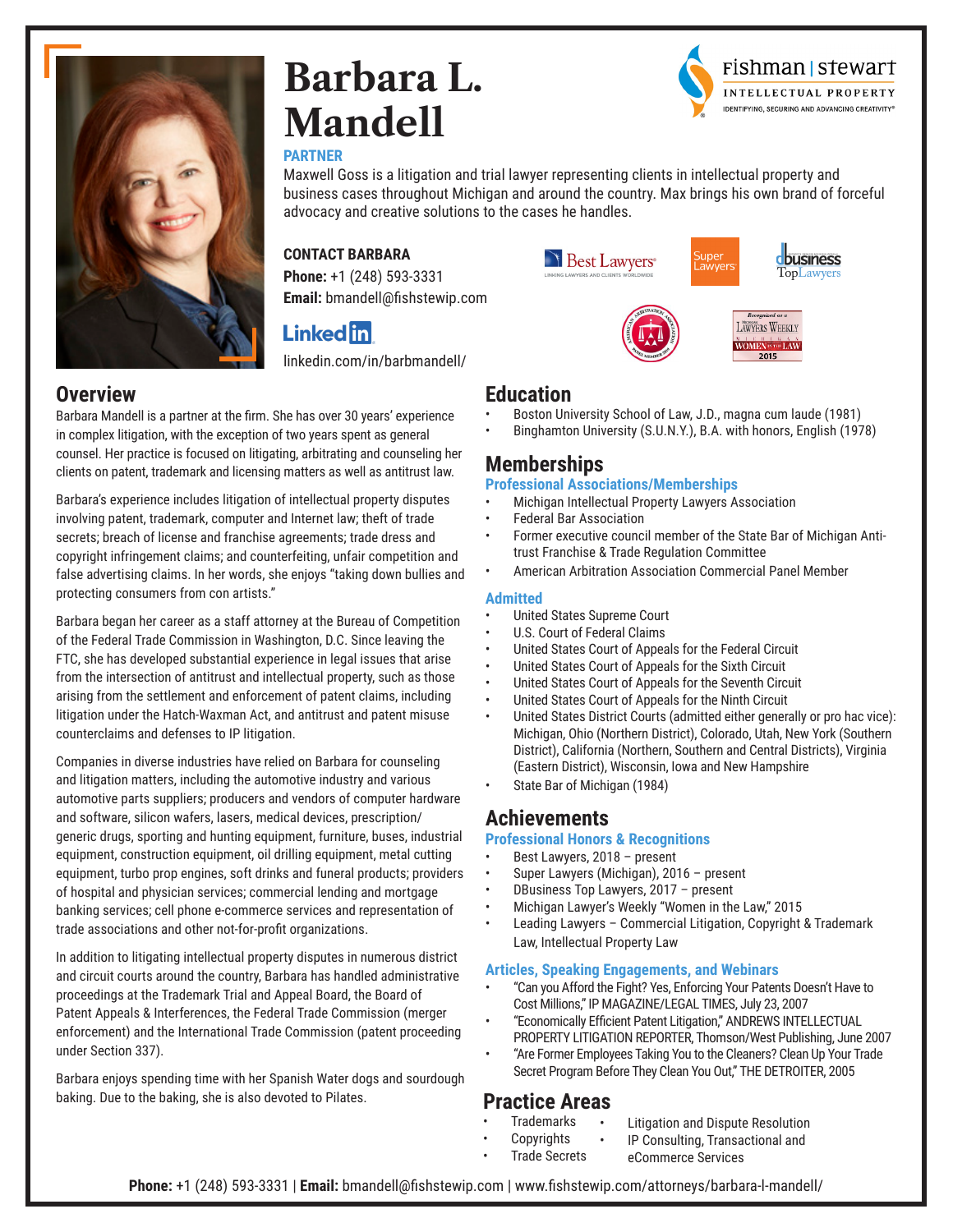

# **Barbara L. Mandell**

#### **PARTNER**

Maxwell Goss is a litigation and trial lawyer representing clients in intellectual property and business cases throughout Michigan and around the country. Max brings his own brand of forceful advocacy and creative solutions to the cases he handles.

#### **CONTACT BARBARA**

**Phone:** +1 (248) 593-3331 **Email:** bmandell@fishstewip.com

# **Linked in**

[linkedin.com/in/barbmandell/](http://linkedin.com/in/barbmandell/)



Barbara Mandell is a partner at the firm. She has over 30 years' experience in complex litigation, with the exception of two years spent as general counsel. Her practice is focused on litigating, arbitrating and counseling her clients on patent, trademark and licensing matters as well as antitrust law.

Barbara's experience includes litigation of intellectual property disputes involving patent, trademark, computer and Internet law; theft of trade secrets; breach of license and franchise agreements; trade dress and copyright infringement claims; and counterfeiting, unfair competition and false advertising claims. In her words, she enjoys "taking down bullies and protecting consumers from con artists."

Barbara began her career as a staff attorney at the Bureau of Competition of the Federal Trade Commission in Washington, D.C. Since leaving the FTC, she has developed substantial experience in legal issues that arise from the intersection of antitrust and intellectual property, such as those arising from the settlement and enforcement of patent claims, including litigation under the Hatch-Waxman Act, and antitrust and patent misuse counterclaims and defenses to IP litigation.

Companies in diverse industries have relied on Barbara for counseling and litigation matters, including the automotive industry and various automotive parts suppliers; producers and vendors of computer hardware and software, silicon wafers, lasers, medical devices, prescription/ generic drugs, sporting and hunting equipment, furniture, buses, industrial equipment, construction equipment, oil drilling equipment, metal cutting equipment, turbo prop engines, soft drinks and funeral products; providers of hospital and physician services; commercial lending and mortgage banking services; cell phone e-commerce services and representation of trade associations and other not-for-profit organizations.

In addition to litigating intellectual property disputes in numerous district and circuit courts around the country, Barbara has handled administrative proceedings at the Trademark Trial and Appeal Board, the Board of Patent Appeals & Interferences, the Federal Trade Commission (merger enforcement) and the International Trade Commission (patent proceeding under Section 337).

Barbara enjoys spending time with her Spanish Water dogs and sourdough baking. Due to the baking, she is also devoted to Pilates.





rishman | stewart





## **Education**

- Boston University School of Law, J.D., magna cum laude (1981)
- Binghamton University (S.U.N.Y.), B.A. with honors, English (1978)

## **Memberships**

- **Professional Associations/Memberships** 
	- Michigan Intellectual Property Lawyers Association
- Federal Bar Association
- Former executive council member of the State Bar of Michigan Antitrust Franchise & Trade Regulation Committee
- American Arbitration Association Commercial Panel Member

#### **Admitted**

- United States Supreme Court
- U.S. Court of Federal Claims
- United States Court of Appeals for the Federal Circuit<br>• United States Court of Appeals for the Sixth Circuit
- United States Court of Appeals for the Sixth Circuit
- United States Court of Appeals for the Seventh Circuit
- United States Court of Appeals for the Ninth Circuit
- United States District Courts (admitted either generally or pro hac vice): Michigan, Ohio (Northern District), Colorado, Utah, New York (Southern District), California (Northern, Southern and Central Districts), Virginia (Eastern District), Wisconsin, Iowa and New Hampshire
- State Bar of Michigan (1984)

## **Achievements**

#### **Professional Honors & Recognitions**

- Best Lawyers, 2018 present
- Super Lawyers (Michigan), 2016 present
- DBusiness Top Lawyers, 2017 present
- Michigan Lawyer's Weekly "Women in the Law," 2015
- Leading Lawyers Commercial Litigation, Copyright & Trademark Law, Intellectual Property Law

#### **Articles, Speaking Engagements, and Webinars**

- "Can you Afford the Fight? Yes, Enforcing Your Patents Doesn't Have to Cost Millions," IP MAGAZINE/LEGAL TIMES, July 23, 2007
- "Economically Efficient Patent Litigation," ANDREWS INTELLECTUAL PROPERTY LITIGATION REPORTER, Thomson/West Publishing, June 2007
- "Are Former Employees Taking You to the Cleaners? Clean Up Your Trade Secret Program Before They Clean You Out," THE DETROITER, 2005

## **Practice Areas**

- **Trademarks** • Litigation and Dispute Resolution
- **Copyrights** • IP Consulting, Transactional and eCommerce Services
- Trade Secrets
- **Phone:** +1 (248) 593-3331 | **Email:** bmandell@fishstewip.com | www.fishstewip.com/attorneys/barbara-l-mandell/

INTELLECTUAL PROPERTY **IDENTIFYING, SECURING AND ADVANCING CREATIVITY®**